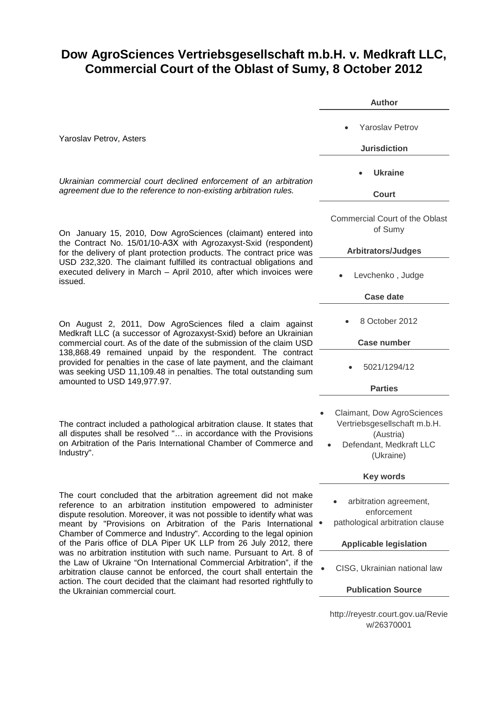## **Dow AgroSciences Vertriebsgesellschaft m.b.H. v. Medkraft LLC, Commercial Court of the Oblast of Sumy, 8 October 2012**

|                                                                                                                                                                                                                                                                                                                                                                                                                                                                                                                                                                                                                                                                                                                                                              | <b>Author</b>                                                                                                   |
|--------------------------------------------------------------------------------------------------------------------------------------------------------------------------------------------------------------------------------------------------------------------------------------------------------------------------------------------------------------------------------------------------------------------------------------------------------------------------------------------------------------------------------------------------------------------------------------------------------------------------------------------------------------------------------------------------------------------------------------------------------------|-----------------------------------------------------------------------------------------------------------------|
| Yaroslav Petrov, Asters                                                                                                                                                                                                                                                                                                                                                                                                                                                                                                                                                                                                                                                                                                                                      | <b>Yaroslav Petrov</b><br><b>Jurisdiction</b>                                                                   |
| Ukrainian commercial court declined enforcement of an arbitration<br>agreement due to the reference to non-existing arbitration rules.                                                                                                                                                                                                                                                                                                                                                                                                                                                                                                                                                                                                                       | Ukraine<br>Court                                                                                                |
| On January 15, 2010, Dow AgroSciences (claimant) entered into<br>the Contract No. 15/01/10-A3X with Agrozaxyst-Sxid (respondent)<br>for the delivery of plant protection products. The contract price was<br>USD 232,320. The claimant fulfilled its contractual obligations and<br>executed delivery in March - April 2010, after which invoices were<br>issued.                                                                                                                                                                                                                                                                                                                                                                                            | Commercial Court of the Oblast<br>of Sumy<br><b>Arbitrators/Judges</b>                                          |
|                                                                                                                                                                                                                                                                                                                                                                                                                                                                                                                                                                                                                                                                                                                                                              | Levchenko, Judge<br><b>Case date</b>                                                                            |
| On August 2, 2011, Dow AgroSciences filed a claim against<br>Medkraft LLC (a successor of Agrozaxyst-Sxid) before an Ukrainian<br>commercial court. As of the date of the submission of the claim USD<br>138,868.49 remained unpaid by the respondent. The contract<br>provided for penalties in the case of late payment, and the claimant<br>was seeking USD 11,109.48 in penalties. The total outstanding sum<br>amounted to USD 149,977.97.                                                                                                                                                                                                                                                                                                              | 8 October 2012                                                                                                  |
|                                                                                                                                                                                                                                                                                                                                                                                                                                                                                                                                                                                                                                                                                                                                                              | <b>Case number</b><br>5021/1294/12                                                                              |
|                                                                                                                                                                                                                                                                                                                                                                                                                                                                                                                                                                                                                                                                                                                                                              | <b>Parties</b>                                                                                                  |
| The contract included a pathological arbitration clause. It states that<br>all disputes shall be resolved " in accordance with the Provisions<br>on Arbitration of the Paris International Chamber of Commerce and<br>Industry".                                                                                                                                                                                                                                                                                                                                                                                                                                                                                                                             | Claimant, Dow AgroSciences<br>Vertriebsgesellschaft m.b.H.<br>(Austria)<br>Defendant, Medkraft LLC<br>(Ukraine) |
|                                                                                                                                                                                                                                                                                                                                                                                                                                                                                                                                                                                                                                                                                                                                                              | <b>Key words</b>                                                                                                |
| The court concluded that the arbitration agreement did not make<br>reference to an arbitration institution empowered to administer<br>dispute resolution. Moreover, it was not possible to identify what was<br>meant by "Provisions on Arbitration of the Paris International<br>Chamber of Commerce and Industry". According to the legal opinion<br>of the Paris office of DLA Piper UK LLP from 26 July 2012, there<br>was no arbitration institution with such name. Pursuant to Art. 8 of<br>the Law of Ukraine "On International Commercial Arbitration", if the<br>arbitration clause cannot be enforced, the court shall entertain the<br>action. The court decided that the claimant had resorted rightfully to<br>the Ukrainian commercial court. | arbitration agreement,<br>enforcement<br>pathological arbitration clause                                        |
|                                                                                                                                                                                                                                                                                                                                                                                                                                                                                                                                                                                                                                                                                                                                                              | <b>Applicable legislation</b>                                                                                   |
|                                                                                                                                                                                                                                                                                                                                                                                                                                                                                                                                                                                                                                                                                                                                                              | CISG, Ukrainian national law                                                                                    |
|                                                                                                                                                                                                                                                                                                                                                                                                                                                                                                                                                                                                                                                                                                                                                              | <b>Publication Source</b>                                                                                       |
|                                                                                                                                                                                                                                                                                                                                                                                                                                                                                                                                                                                                                                                                                                                                                              | http://reyestr.court.gov.ua/Revie                                                                               |

w/26370001